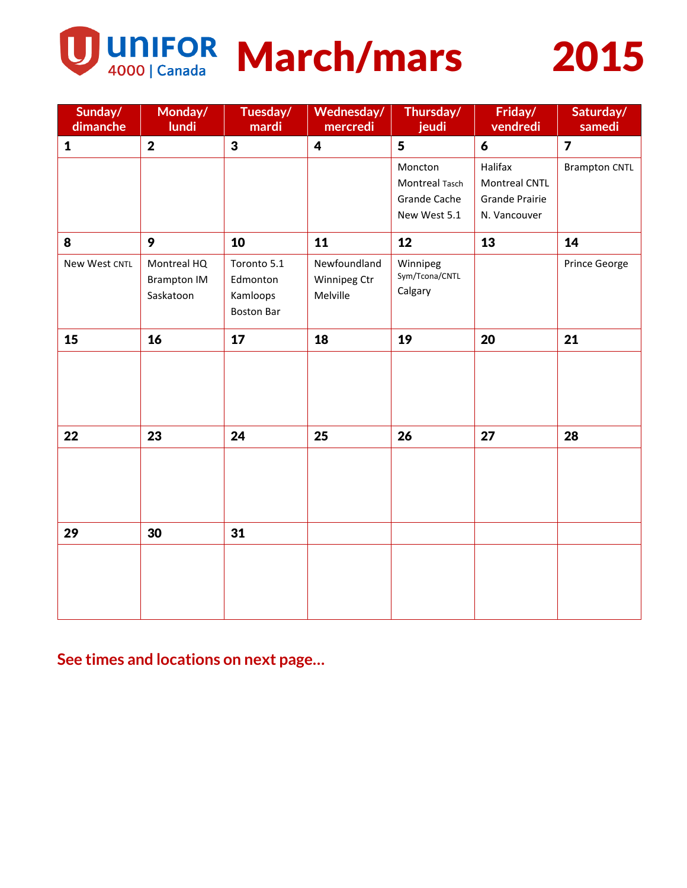

UNIFOR March/mars 2015



| Sunday/<br>dimanche | Monday/<br>lundi        | Tuesday/<br>mardi | Wednesday/<br>mercredi | Thursday/<br>jeudi        | Friday/<br>vendredi   | Saturday/<br>samedi  |
|---------------------|-------------------------|-------------------|------------------------|---------------------------|-----------------------|----------------------|
| $\mathbf{1}$        | $\overline{\mathbf{2}}$ | $\mathbf{3}$      | 4                      | 5                         | 6                     | $\overline{7}$       |
|                     |                         |                   |                        | Moncton                   | Halifax               | <b>Brampton CNTL</b> |
|                     |                         |                   |                        | Montreal Tasch            | <b>Montreal CNTL</b>  |                      |
|                     |                         |                   |                        | <b>Grande Cache</b>       | <b>Grande Prairie</b> |                      |
|                     |                         |                   |                        | New West 5.1              | N. Vancouver          |                      |
| 8                   | $\mathbf{9}$            | 10                | 11                     | 12                        | 13                    | 14                   |
| New West CNTL       | Montreal HQ             | Toronto 5.1       | Newfoundland           | Winnipeg                  |                       | Prince George        |
|                     | <b>Brampton IM</b>      | Edmonton          | Winnipeg Ctr           | Sym/Tcona/CNTL<br>Calgary |                       |                      |
|                     | Saskatoon               | Kamloops          | Melville               |                           |                       |                      |
|                     |                         | <b>Boston Bar</b> |                        |                           |                       |                      |
| 15                  | 16                      | 17                | 18                     | 19                        | 20                    | 21                   |
|                     |                         |                   |                        |                           |                       |                      |
| 22                  | 23                      | 24                | 25                     | 26                        | 27                    | 28                   |
| 29                  | 30                      | 31                |                        |                           |                       |                      |
|                     |                         |                   |                        |                           |                       |                      |

**See times and locations on next page…**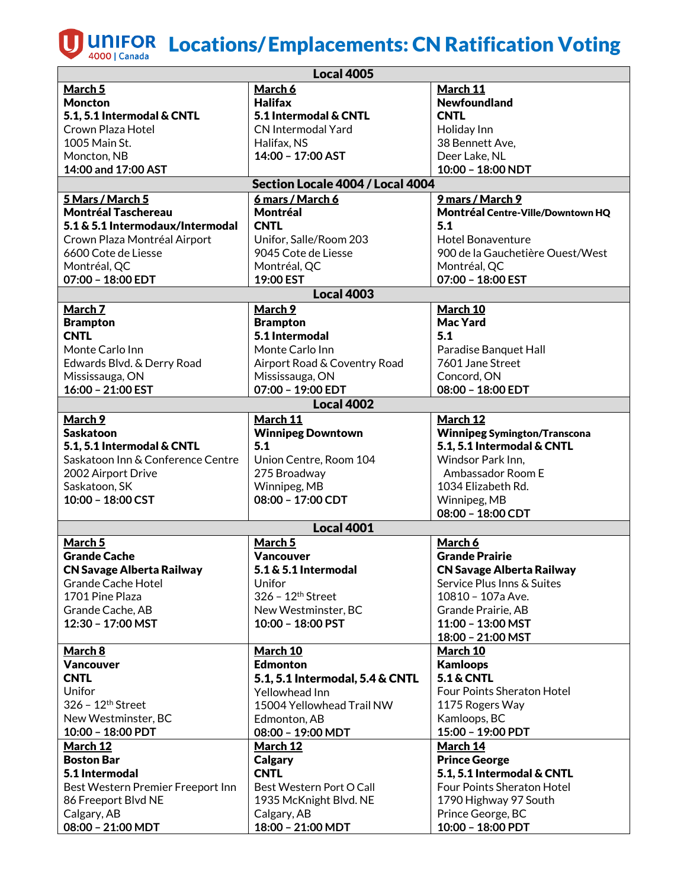## **UD** UNIFOR Locations/Emplacements: CN Ratification Voting

| <b>Local 4005</b>                 |                                   |                                     |  |  |  |  |  |
|-----------------------------------|-----------------------------------|-------------------------------------|--|--|--|--|--|
| March 5                           | March 6                           | March 11                            |  |  |  |  |  |
| <b>Moncton</b>                    | <b>Halifax</b>                    | <b>Newfoundland</b>                 |  |  |  |  |  |
| 5.1, 5.1 Intermodal & CNTL        | 5.1 Intermodal & CNTL             | <b>CNTL</b>                         |  |  |  |  |  |
| Crown Plaza Hotel                 | <b>CN Intermodal Yard</b>         | Holiday Inn                         |  |  |  |  |  |
| 1005 Main St.                     | Halifax, NS                       | 38 Bennett Ave,                     |  |  |  |  |  |
| Moncton, NB                       | 14:00 - 17:00 AST                 | Deer Lake, NL                       |  |  |  |  |  |
| 14:00 and 17:00 AST               |                                   | 10:00 - 18:00 NDT                   |  |  |  |  |  |
|                                   | Section Locale 4004 / Local 4004  |                                     |  |  |  |  |  |
| 5 Mars / March 5                  | 6 mars / March 6                  | 9 mars / March 9                    |  |  |  |  |  |
| <b>Montréal Taschereau</b>        | <b>Montréal</b>                   | Montréal Centre-Ville/Downtown HQ   |  |  |  |  |  |
| 5.1 & 5.1 Intermodaux/Intermodal  | <b>CNTL</b>                       | 5.1                                 |  |  |  |  |  |
| Crown Plaza Montréal Airport      | Unifor, Salle/Room 203            | <b>Hotel Bonaventure</b>            |  |  |  |  |  |
| 6600 Cote de Liesse               | 9045 Cote de Liesse               | 900 de la Gauchetière Ouest/West    |  |  |  |  |  |
| Montréal, QC                      | Montréal, QC                      | Montréal, QC                        |  |  |  |  |  |
| 07:00 - 18:00 EDT                 | 19:00 EST                         | 07:00 - 18:00 EST                   |  |  |  |  |  |
|                                   | <b>Local 4003</b>                 |                                     |  |  |  |  |  |
| March 7                           | March 9                           | March 10                            |  |  |  |  |  |
|                                   |                                   | <b>Mac Yard</b>                     |  |  |  |  |  |
| <b>Brampton</b><br><b>CNTL</b>    | <b>Brampton</b><br>5.1 Intermodal | 5.1                                 |  |  |  |  |  |
|                                   |                                   |                                     |  |  |  |  |  |
| Monte Carlo Inn                   | Monte Carlo Inn                   | Paradise Banquet Hall               |  |  |  |  |  |
| Edwards Blvd. & Derry Road        | Airport Road & Coventry Road      | 7601 Jane Street                    |  |  |  |  |  |
| Mississauga, ON                   | Mississauga, ON                   | Concord, ON                         |  |  |  |  |  |
| 16:00 - 21:00 EST                 | 07:00 - 19:00 EDT                 | 08:00 - 18:00 EDT                   |  |  |  |  |  |
|                                   | <b>Local 4002</b>                 |                                     |  |  |  |  |  |
| March 9                           | March 11                          | March 12                            |  |  |  |  |  |
| <b>Saskatoon</b>                  | <b>Winnipeg Downtown</b>          | <b>Winnipeg Symington/Transcona</b> |  |  |  |  |  |
| 5.1, 5.1 Intermodal & CNTL        | 5.1                               | 5.1, 5.1 Intermodal & CNTL          |  |  |  |  |  |
| Saskatoon Inn & Conference Centre | Union Centre, Room 104            | Windsor Park Inn,                   |  |  |  |  |  |
| 2002 Airport Drive                | 275 Broadway                      | Ambassador Room E                   |  |  |  |  |  |
| Saskatoon, SK                     | Winnipeg, MB                      | 1034 Elizabeth Rd.                  |  |  |  |  |  |
| 10:00 - 18:00 CST                 | 08:00 - 17:00 CDT                 | Winnipeg, MB                        |  |  |  |  |  |
|                                   |                                   | 08:00 - 18:00 CDT                   |  |  |  |  |  |
|                                   | <b>Local 4001</b>                 |                                     |  |  |  |  |  |
| March 5                           | <b>March 5</b>                    | March 6                             |  |  |  |  |  |
| <b>Grande Cache</b>               | Vancouver                         | <b>Grande Prairie</b>               |  |  |  |  |  |
| <b>CN Savage Alberta Railway</b>  | 5.1 & 5.1 Intermodal              | <b>CN Savage Alberta Railway</b>    |  |  |  |  |  |
| <b>Grande Cache Hotel</b>         | Unifor                            | Service Plus Inns & Suites          |  |  |  |  |  |
| 1701 Pine Plaza                   | $326 - 12$ <sup>th</sup> Street   | 10810 - 107a Ave.                   |  |  |  |  |  |
| Grande Cache, AB                  | New Westminster, BC               | Grande Prairie, AB                  |  |  |  |  |  |
| 12:30 - 17:00 MST                 | 10:00 - 18:00 PST                 | 11:00 - 13:00 MST                   |  |  |  |  |  |
|                                   |                                   | 18:00 - 21:00 MST                   |  |  |  |  |  |
| <u>March 8</u>                    | March 10                          | <b>March 10</b>                     |  |  |  |  |  |
| <b>Vancouver</b>                  | <b>Edmonton</b>                   | <b>Kamloops</b>                     |  |  |  |  |  |
| <b>CNTL</b>                       | 5.1, 5.1 Intermodal, 5.4 & CNTL   | <b>5.1 &amp; CNTL</b>               |  |  |  |  |  |
| Unifor                            | Yellowhead Inn                    | Four Points Sheraton Hotel          |  |  |  |  |  |
| 326 - 12 <sup>th</sup> Street     | 15004 Yellowhead Trail NW         | 1175 Rogers Way                     |  |  |  |  |  |
| New Westminster, BC               | Edmonton, AB                      | Kamloops, BC                        |  |  |  |  |  |
| 10:00 - 18:00 PDT                 | 08:00 - 19:00 MDT                 | 15:00 - 19:00 PDT                   |  |  |  |  |  |
| <b>March 12</b>                   | <b>March 12</b>                   | <b>March 14</b>                     |  |  |  |  |  |
| <b>Boston Bar</b>                 | Calgary                           | <b>Prince George</b>                |  |  |  |  |  |
| 5.1 Intermodal                    | <b>CNTL</b>                       | 5.1, 5.1 Intermodal & CNTL          |  |  |  |  |  |
| Best Western Premier Freeport Inn | Best Western Port O Call          | Four Points Sheraton Hotel          |  |  |  |  |  |
| 86 Freeport Blvd NE               | 1935 McKnight Blvd. NE            | 1790 Highway 97 South               |  |  |  |  |  |
| Calgary, AB                       | Calgary, AB                       | Prince George, BC                   |  |  |  |  |  |
| 08:00 - 21:00 MDT                 | 18:00 - 21:00 MDT                 | 10:00 - 18:00 PDT                   |  |  |  |  |  |